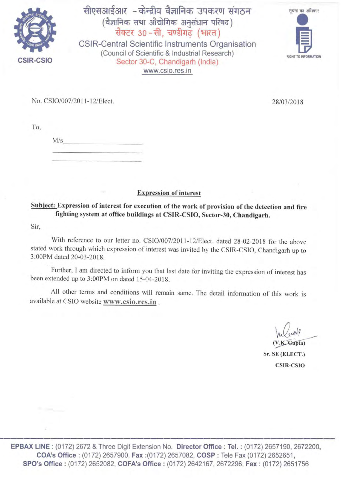

सीएसआईआर - केन्द्रीय वैज्ञानिक उपकरण संगठन (वज्ञानिक तथा आद्यागिक अनुसंधान पारषद) सक्टर 30 - सा, चण्डागढ़ (भारत)

CSIR-Central Scientific Instruments Organisation (Council of Scientific & Industrial Research) Sector 30-C, Chandigarh (India) www.csio.res.in



No. CSIO/007/2011-12/Elect.

28/03/2018

 $M/s$ 

Expression of interest

# Subject: Expression of interest for execution of the work of provision of the detection and fire fighting system at office buildings at CSIR-CSIO, Sector-30, Chandigarh.

Sir,

With reference to our letter no. CSIO/007/2011-12/Elect. dated 28-02-2018 for the above stated work through which expression of interest was invited by the CSJR-CSIO, Chandigarh up to 3:00PM dated 20-03-2018.

Further, I am directed to inform you that last date for inviting the expression of interest has been extended up to 3:00PM on dated 15-04-2018.

All other terms and conditions will remain same. The detail information of this work is available at CSIO website www.csio.res.in .

 $\sqrt{\lambda \sqrt{\text{cwh}}^2}$ <br>(V.K. Gupta)  $U_4 \vee \circ W$ 

Sr. SE (ELECT.) CSIR-CSIO

EPBAX LINE : (0172) 2672 & Three Digit Extension No. Director Office : Tel. : (0172) 2657190, 2672200, COA's Office : (0172) 2657900, Fax :(0172) 2657082, COSP : Tele Fax (0172) 2652651, SPO's Office: (0172) 2652082, COFA's Office: (0172) 2642167, 2672296, Fax: (0172) 2651756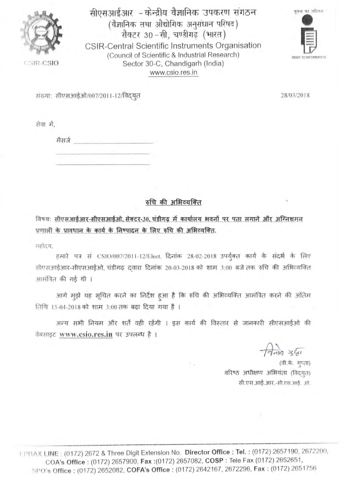

CSIR-CSIO

सीएसआईआर - केन्द्रीय वैज्ञानिक उपकरण संगठन (वैज्ञानिक तथा औद्योगिक अनुसंधान परिषद) सैक्टर 30-सी, चण्डीगढ़ (भारत) CSIR-Central Scientific Instruments Organisation (Council of Scientific & Industrial Research) Sector 30-C, Chandigarh (India) www.csio.res.in



संख्या: सीएसआईओ/007/2011-12/विदयृत

सेवा में.

मैसर्ज विकास करने के साथ के साथ के बाद से साथ के बाद से साथ की साथ करने हैं। यहां कि

रुचि की अभिव्यक्ति

विषय: सीएसआईआर-सीएसआईओ, सेक्टर-30, चंडीगढ़ में कार्यालय भवनों पर पता लगाने और अग्निशमन प्रणाली के प्रावधान के कार्य के निष्पादन के लिए रुचि की अभिव्यक्ति.

महोदय.

हमारे पत्र सं CSIO/007/2011-12/Elect. दिनांक 28-02-2018 उपर्युक्त कार्य के संदर्भ के लिए सीएसआईआर-सीएसआईओ, चंडीगढ़ दवारा दिलांक 20-03-2018 को शाम 3:00 बजे तक रुचि की अभिव्यक्ति आमंत्रित की गई थी ।

आगे मुझे यह सूचित करने का निर्देश हुआ है कि रुचि की अभिव्यक्ति आमंत्रित करने की अंतिम तिथि 15-04-2018 को शाम 3:00 तक बढ़ा दिया गया है ।

अन्य सभी नियम और शर्तें वही रहेंगी । इस कार्य की विस्तार से जानकारी सीएसआईओ की वेबसाइट www.csio.res.in पर उपलब्ध है।

 $\frac{1}{9}$   $\frac{1}{9}$   $\frac{1}{9}$ 

(वी.के. गुप्ता) वरिष्ठ अधीक्षण अभियंता (विदयत) सी.एस.आई.आर.-सी.एस.आई. ओ.

1 1213 AX LINE: (0172) 2672 & Three Digit Extension No. Director Office: Tel.: (0172) 2657190, 2672200, COA's Office: (0172) 2657900, Fax: (0172) 2657082, COSP: Tele Fax (0172) 2652651, SPO's Office: (0172) 2652082, COFA's Office: (0172) 2642167, 2672296, Fax: (0172) 2651756

28/03/2018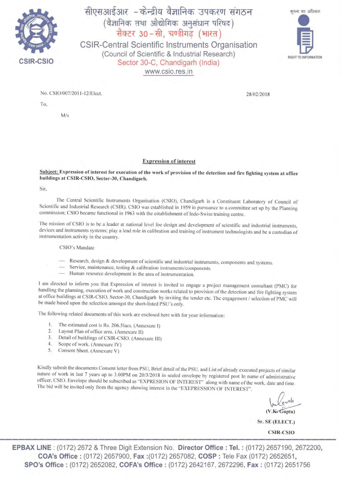

# सीएसआईआर - केन्द्रीय वैज्ञानिक उपकरण संगठन (वैज्ञानिक तथा औद्योगिक अनुसंधान परिषद)  $\vec{r}$  वेक्टर 30 - सी, चण्डीगढ़ (भारत)

CSIR-Central Scientific Instruments Organisation (Council of Scientific & Industrial Research) Sector 30-C, Chandigarh (India) www.csio.res.in



No. CSI0 /007/20 11- 12/Elect. 28/02/2018

To,

*Mis* 

Expression of interest

Subject: Expression of interest for execution of the work of provision of the detection and fire fighting system at office buildings at CSIR-CSIO, Sector-30, Chandigarh.

Sir,

The Central Scientific Instruments Organisation (CSIO), Chandigarh is a Constituent Laboratory of Council of Scientific and Industrial Research (CSIR). CSIO was established in 1959 in pursuance to a committee set up by the Planning commission; CSIO became functional in 1963 with the establishment of lndo-Swiss training centre.

The mission of CSIO is to be a leader at national level foe design and development of scientific and industrial instruments, devices and instruments systems: play a lead role in calibration and training of instrument technologists and be a custodian of instrumentation activity in the country.

CSIO's Mandate

- Research, design & development of scientific and industrial instruments, components and systems.
- Service. maintenance, testing & calibration instruments/components.
- Human resource development in the area of instrumentation.

I am directed to inform you that Expression of interest is invited to engage a project management consultant (PMC) for handling the planning, execution of work and construction works related to provision of the detection and fire fighting system at office buildings at CSIR-CSIO, Sector-30, Chandigarh by inviting the tender etc. The engagement / selection of PMC will be made based upon the selection amongst the short-listed PSU's only.

The following related documents of this work are enclosed here with for your information:

- I. The estimated cost is Rs. 206.51acs. (Anncxurc I)
- 2. Layout Plan of office area. (Annexure II)
- 3. Detail of buildings of CSIR-CSIO. (Annexure III)
- 4. Scope of work. (Annexurc IV)
- 5. Consent Sheet. (Anncxure V)

Kindly submit the documents Consent letter from PSU, Brief detail of the PSU, and List of already executed projects of similar nature of work in last 7 years up to 3.00PM on 20/3/20 18 in scaled envelope by registered post In name of administrative officer, CSIO. Envelope should be subscribed as "EXPRESION OF INTEREST" along with name of the work, date and time. The bid will be invited only from the agency showing interest in the ''EXEPRESSION OF INTEREST'.

(V.K. Gupta)

Sr. SE (ELECT.) CSIR-CSIO

EPBAX LINE : (0172) 2672 & Three Digit Extension No. Director Office : Tel. : (0172) 2657190, 2672200, COA's Office : (0172) 2657900, Fax :(0172) 2657082, COSP : Tele Fax (0172) 2652651, SPO's Office: (0172) 2652082, COFA's Office: (0172) 2642167, 2672296, Fax: (0172) 2651756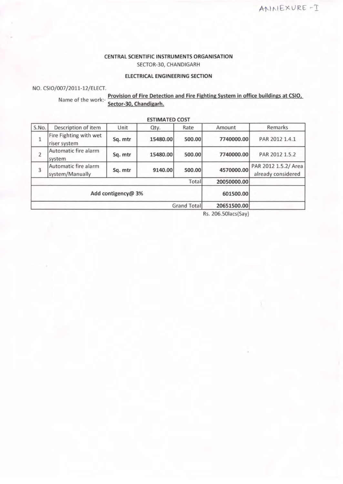### CENTRAL SCIENTIFIC INSTRUMENTS ORGANISATION SECTOR-30, CHANDIGARH

#### ELECTRICAL ENGINEERING SECTION

NO. CSI0/007/2011-12/ELECT.

Name of the work:- Provision of Fire Detection and Fire Fighting System in office buildings at CSIO,<br>Sector-30, Chandigarh.

|                |                                         |                    | <b>LJIIIIALILU COJI</b> |             |                  |                                            |
|----------------|-----------------------------------------|--------------------|-------------------------|-------------|------------------|--------------------------------------------|
| S.No.          | Description of item                     | Unit               | Qty.                    | Rate        | Amount           | Remarks                                    |
| $\mathbf{1}$   | Fire Fighting with wet<br>riser system  | Sq. mtr            | 15480.00                | 500.00      | 7740000.00       | PAR 2012 1.4.1                             |
| $\overline{2}$ | Automatic fire alarm<br>system          | Sq. mtr            | 15480.00                | 500.00      | 7740000.00       | PAR 2012 1.5.2                             |
| 3              | Automatic fire alarm<br>system/Manually | Sq. mtr            | 9140.00                 | 500.00      | 4570000.00       | PAR 2012 1.5.2/ Area<br>already considered |
| Total          |                                         |                    |                         |             | 20050000.00      |                                            |
|                |                                         | Add contigency@ 3% |                         |             | 601500.00        |                                            |
| Grand Total    |                                         |                    |                         | 20651500.00 |                  |                                            |
|                |                                         |                    |                         |             | $Re$ 20650 $scl$ |                                            |

ESTIMATED COST

Rs. 206.501acs(Say)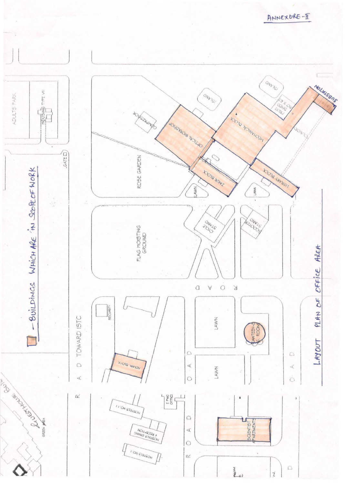GNVISI Noluisens **DONG** TYPE VII ONDOS ADULTS PARK FISH O **SOFFERED RD ARCHAM OLDER**  $\Delta$ **SOKSYSOM NOLLAO**  $\mathcal{O}$  $GATE \Box$ ROSE GARDEN **MONAL ANDREA KOTO MAKE** - BUILDINGS WHICH ARE IN SCOPE OF WORK LAWN LAWN **ADONAS 944-45** FLAG HOISTING<br>GROUND PLAN OF OFFICE AREA  $\alpha$  $\circ$  $\forall$  $\overline{S}$ SECURITY TOWARD ISTC LAWN **DCO** LAYOUT  $\bigcirc$  $\bigcirc$ **ACAMAL BLOCK**  $\bigcirc$  $\prec$ LAWN  $\preceq$ ASSERING REGISTER  $\triangleleft$  $\circ$ Ó  $\begin{array}{c}\n\frac{1}{2} \\
\frac{1}{2} \\
\frac{1}{2} \\
\frac{1}{2} \\
\frac{1}{2} \\
\frac{1}{2} \\
\frac{1}{2} \\
\frac{1}{2} \\
\frac{1}{2} \\
\frac{1}{2} \\
\frac{1}{2} \\
\frac{1}{2} \\
\frac{1}{2} \\
\frac{1}{2} \\
\frac{1}{2} \\
\frac{1}{2} \\
\frac{1}{2} \\
\frac{1}{2} \\
\frac{1}{2} \\
\frac{1}{2} \\
\frac{1}{2} \\
\frac{1}{2} \\
\frac{1}{2} \\
\frac{1}{2} \\
\frac{1}{2} \\
\frac{1}{2} \\
\frac{1$  $\alpha$  $\pm$  $\begin{array}{c}\nI & I' \bigcirc_{N} S_{121} \\
I' & I' \bigcirc_{N} G_{131} \\
I' & I' \bigcirc_{N} G_{131} \\
I' & I' \bigcirc_{N} G_{131} \\
I' & I' \bigcirc_{N} G_{131} \\
I' & I' \bigcirc_{N} G_{131} \\
I' & I' \bigcirc_{N} G_{131} \\
I' & I' \bigcirc_{N} G_{131} \\
I' & I' \bigcirc_{N} G_{131} \\
I' & I' \bigcirc_{N} G_{131} \\
I' & I' \bigcirc_{N} G_{131} \\
I' & I' \bigcirc_{N} G_{13$  $\bigcirc$ SCIENTIST GREEN WELL NOIL-13334  $\triangleleft$  $\circ$ **ON STATEON**  $0\leq$  $\overline{\bigcirc}$ parva  $41$ 

ANNEXURE-I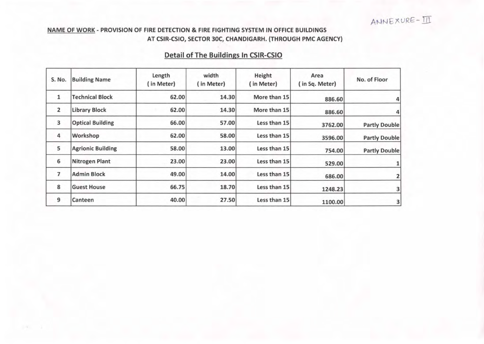# NAME OF WORK - PROVISION OF FIRE DETECTION & FIRE FIGHTING SYSTEM IN OFFICE BUILDINGS AT CSIR-CSIO, SECTOR 30C, CHANDIGARH. (THROUGH PMC AGENCY)

# Detail of The Buildings In CSIR-CSIO

| S. No.         | <b>Building Name</b>     | Length<br>(in Meter) | width<br>(in Meter) | Height<br>(in Meter) | Area<br>(in Sq. Meter) | No. of Floor         |
|----------------|--------------------------|----------------------|---------------------|----------------------|------------------------|----------------------|
| $\mathbf{1}$   | <b>Technical Block</b>   | 62.00                | 14.30               | More than 15         | 886.60                 |                      |
| 2              | <b>Library Block</b>     | 62.00                | 14.30               | More than 15         | 886.60                 |                      |
| 3              | <b>Optical Building</b>  | 66.00                | 57.00               | Less than 15         | 3762.00                | <b>Partly Double</b> |
| 4              | Workshop                 | 62.00                | 58.00               | Less than 15         | 3596.00                | <b>Partly Double</b> |
| 5              | <b>Agrionic Building</b> | 58.00                | 13.00               | Less than 15         | 754.00                 | <b>Partly Double</b> |
| 6              | <b>Nitrogen Plant</b>    | 23.00                | 23.00               | Less than 15         | 529.00                 |                      |
| $\overline{7}$ | <b>Admin Block</b>       | 49.00                | 14.00               | Less than 15         | 686.00                 |                      |
| 8              | <b>Guest House</b>       | 66.75                | 18.70               | Less than 15         | 1248.23                |                      |
| 9              | Canteen                  | 40.00                | 27.50               | Less than 15         | 1100.00                | 3                    |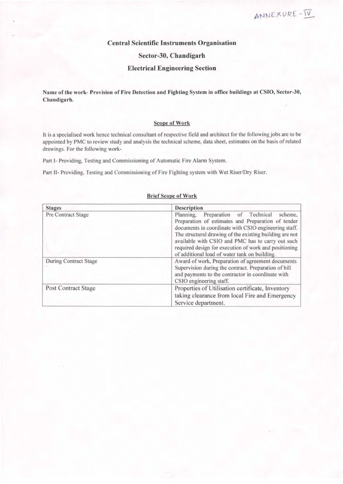### Central Scientific Instruments Organisation

### Sector-30, Chandigarh

#### Electrical Engineering Section

Name of the work- Provision of Fire Detection and Fighting System in office buildings at CSIO, Sector-30, Chandigarh.

#### Scope of Work

It is a specialised work hence technical consultant of respective field and architect for the following jobs are to be appointed by PMC to review study and analysis the technical scheme, data sheet, estimates on the basis of related drawings. For the following work-

Part 1- Providing, Testing and Commissioning of Automatic Fire Alarm System.

Part II- Providing, Testing and Commissioning of Fire Fighting system with Wet Riser/Dry Riser.

| <b>Stages</b>                | <b>Description</b>                                                                                                                                                                                                                                                                                                                                                                       |  |  |  |
|------------------------------|------------------------------------------------------------------------------------------------------------------------------------------------------------------------------------------------------------------------------------------------------------------------------------------------------------------------------------------------------------------------------------------|--|--|--|
| Pre Contract Stage           | Preparation of Technical<br>Planning.<br>scheme.<br>Preparation of estimates and Preparation of tender<br>documents in coordinate with CSIO engineering staff.<br>The structural drawing of the existing building are not<br>available with CSIO and PMC has to carry out such<br>required design for execution of work and positioning<br>of additional load of water tank on building. |  |  |  |
| <b>During Contract Stage</b> | Award of work, Preparation of agreement documents<br>Supervision during the contract. Preparation of bill<br>and payments to the contractor in coordinate with<br>CSIO engineering staff.                                                                                                                                                                                                |  |  |  |
| <b>Post Contract Stage</b>   | Properties of Utilisation certificate, Inventory<br>taking clearance from local Fire and Emergency<br>Service department.                                                                                                                                                                                                                                                                |  |  |  |

#### Brief Scope of Work